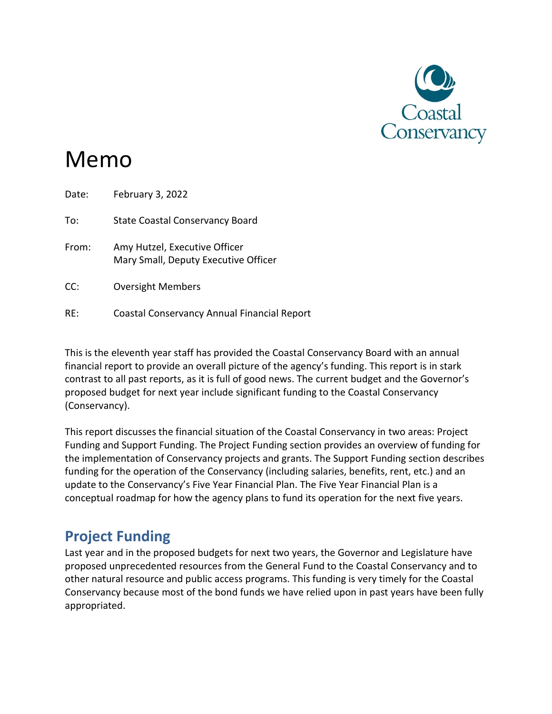

# Memo

| Date: | February 3, 2022                                                      |
|-------|-----------------------------------------------------------------------|
| To:   | <b>State Coastal Conservancy Board</b>                                |
| From: | Amy Hutzel, Executive Officer<br>Mary Small, Deputy Executive Officer |
| CC:   | <b>Oversight Members</b>                                              |
| RE:   | Coastal Conservancy Annual Financial Report                           |

This is the eleventh year staff has provided the Coastal Conservancy Board with an annual financial report to provide an overall picture of the agency's funding. This report is in stark contrast to all past reports, as it is full of good news. The current budget and the Governor's proposed budget for next year include significant funding to the Coastal Conservancy (Conservancy).

This report discusses the financial situation of the Coastal Conservancy in two areas: Project Funding and Support Funding. The Project Funding section provides an overview of funding for the implementation of Conservancy projects and grants. The Support Funding section describes funding for the operation of the Conservancy (including salaries, benefits, rent, etc.) and an update to the Conservancy's Five Year Financial Plan. The Five Year Financial Plan is a conceptual roadmap for how the agency plans to fund its operation for the next five years.

# **Project Funding**

Last year and in the proposed budgets for next two years, the Governor and Legislature have proposed unprecedented resources from the General Fund to the Coastal Conservancy and to other natural resource and public access programs. This funding is very timely for the Coastal Conservancy because most of the bond funds we have relied upon in past years have been fully appropriated.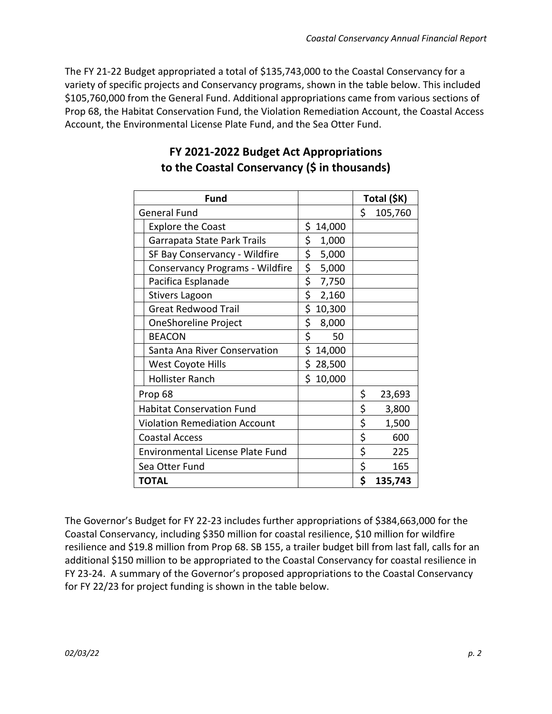The FY 21-22 Budget appropriated a total of \$135,743,000 to the Coastal Conservancy for a variety of specific projects and Conservancy programs, shown in the table below. This included \$105,760,000 from the General Fund. Additional appropriations came from various sections of Prop 68, the Habitat Conservation Fund, the Violation Remediation Account, the Coastal Access Account, the Environmental License Plate Fund, and the Sea Otter Fund.

| <b>Fund</b>                             |              | Total (\$K)   |
|-----------------------------------------|--------------|---------------|
| <b>General Fund</b>                     |              | \$<br>105,760 |
| <b>Explore the Coast</b>                | \$<br>14,000 |               |
| Garrapata State Park Trails             | \$<br>1,000  |               |
| SF Bay Conservancy - Wildfire           | \$<br>5,000  |               |
| Conservancy Programs - Wildfire         | \$<br>5,000  |               |
| Pacifica Esplanade                      | \$<br>7,750  |               |
| <b>Stivers Lagoon</b>                   | \$<br>2,160  |               |
| <b>Great Redwood Trail</b>              | \$<br>10,300 |               |
| OneShoreline Project                    | \$<br>8,000  |               |
| <b>BEACON</b>                           | \$<br>50     |               |
| Santa Ana River Conservation            | \$<br>14,000 |               |
| West Coyote Hills                       | \$<br>28,500 |               |
| <b>Hollister Ranch</b>                  | \$<br>10,000 |               |
| Prop 68                                 |              | \$<br>23,693  |
| <b>Habitat Conservation Fund</b>        |              | \$<br>3,800   |
| <b>Violation Remediation Account</b>    |              | \$<br>1,500   |
| <b>Coastal Access</b>                   |              | \$<br>600     |
| <b>Environmental License Plate Fund</b> |              | \$<br>225     |
| Sea Otter Fund                          |              | \$<br>165     |
| <b>TOTAL</b>                            |              | \$<br>135,743 |

### **FY 2021-2022 Budget Act Appropriations to the Coastal Conservancy (\$ in thousands)**

The Governor's Budget for FY 22-23 includes further appropriations of \$384,663,000 for the Coastal Conservancy, including \$350 million for coastal resilience, \$10 million for wildfire resilience and \$19.8 million from Prop 68. SB 155, a trailer budget bill from last fall, calls for an additional \$150 million to be appropriated to the Coastal Conservancy for coastal resilience in FY 23-24. A summary of the Governor's proposed appropriations to the Coastal Conservancy for FY 22/23 for project funding is shown in the table below.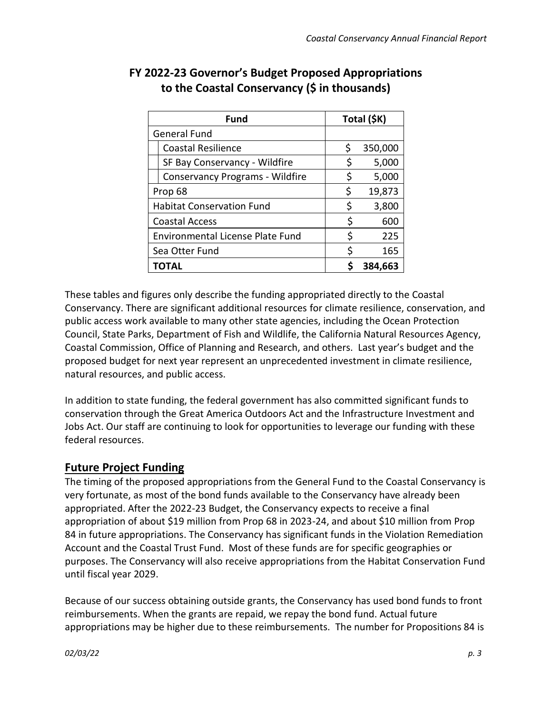| <b>Fund</b>                             |    | Total (\$K) |
|-----------------------------------------|----|-------------|
| <b>General Fund</b>                     |    |             |
| <b>Coastal Resilience</b>               | \$ | 350,000     |
| SF Bay Conservancy - Wildfire           | \$ | 5,000       |
| <b>Conservancy Programs - Wildfire</b>  | \$ | 5,000       |
| Prop 68                                 |    | 19,873      |
| <b>Habitat Conservation Fund</b>        |    | 3,800       |
| <b>Coastal Access</b>                   | S  | 600         |
| <b>Environmental License Plate Fund</b> |    | 225         |
| Sea Otter Fund                          |    | 165         |
| TOTAL                                   |    | 384,663     |

## **FY 2022-23 Governor's Budget Proposed Appropriations to the Coastal Conservancy (\$ in thousands)**

These tables and figures only describe the funding appropriated directly to the Coastal Conservancy. There are significant additional resources for climate resilience, conservation, and public access work available to many other state agencies, including the Ocean Protection Council, State Parks, Department of Fish and Wildlife, the California Natural Resources Agency, Coastal Commission, Office of Planning and Research, and others. Last year's budget and the proposed budget for next year represent an unprecedented investment in climate resilience, natural resources, and public access.

In addition to state funding, the federal government has also committed significant funds to conservation through the Great America Outdoors Act and the Infrastructure Investment and Jobs Act. Our staff are continuing to look for opportunities to leverage our funding with these federal resources.

#### **Future Project Funding**

The timing of the proposed appropriations from the General Fund to the Coastal Conservancy is very fortunate, as most of the bond funds available to the Conservancy have already been appropriated. After the 2022-23 Budget, the Conservancy expects to receive a final appropriation of about \$19 million from Prop 68 in 2023-24, and about \$10 million from Prop 84 in future appropriations. The Conservancy has significant funds in the Violation Remediation Account and the Coastal Trust Fund. Most of these funds are for specific geographies or purposes. The Conservancy will also receive appropriations from the Habitat Conservation Fund until fiscal year 2029.

Because of our success obtaining outside grants, the Conservancy has used bond funds to front reimbursements. When the grants are repaid, we repay the bond fund. Actual future appropriations may be higher due to these reimbursements. The number for Propositions 84 is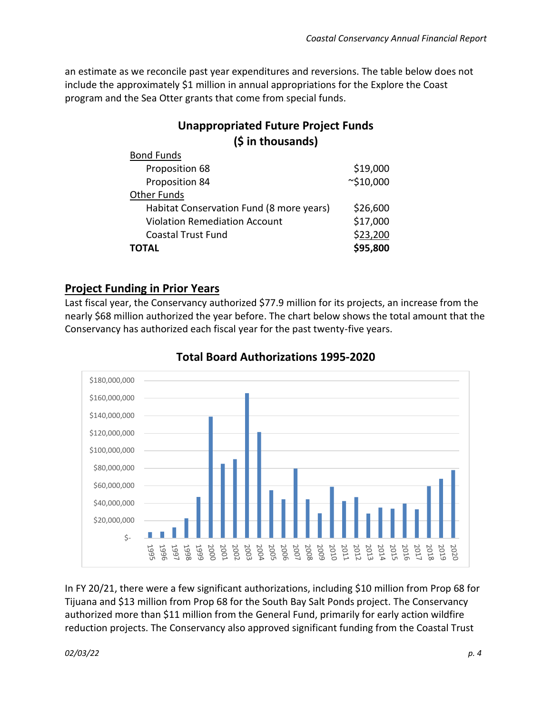an estimate as we reconcile past year expenditures and reversions. The table below does not include the approximately \$1 million in annual appropriations for the Explore the Coast program and the Sea Otter grants that come from special funds.

### **Unappropriated Future Project Funds (\$ in thousands)**

| <b>Bond Funds</b>                        |                 |
|------------------------------------------|-----------------|
| Proposition 68                           | \$19,000        |
| Proposition 84                           | $\sim$ \$10,000 |
| <b>Other Funds</b>                       |                 |
| Habitat Conservation Fund (8 more years) | \$26,600        |
| <b>Violation Remediation Account</b>     | \$17,000        |
| <b>Coastal Trust Fund</b>                | \$23,200        |
| ΤΟΤΑL                                    | \$95,800        |
|                                          |                 |

#### **Project Funding in Prior Years**

Last fiscal year, the Conservancy authorized \$77.9 million for its projects, an increase from the nearly \$68 million authorized the year before. The chart below shows the total amount that the Conservancy has authorized each fiscal year for the past twenty-five years.



#### **Total Board Authorizations 1995-2020**

In FY 20/21, there were a few significant authorizations, including \$10 million from Prop 68 for Tijuana and \$13 million from Prop 68 for the South Bay Salt Ponds project. The Conservancy authorized more than \$11 million from the General Fund, primarily for early action wildfire reduction projects. The Conservancy also approved significant funding from the Coastal Trust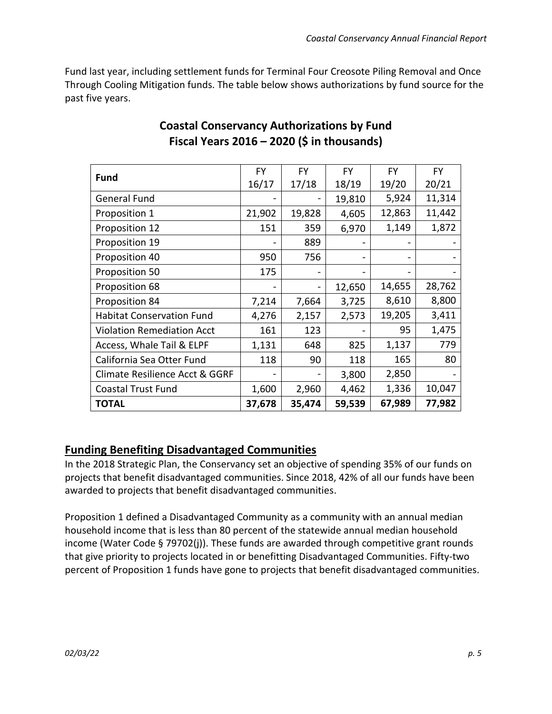Fund last year, including settlement funds for Terminal Four Creosote Piling Removal and Once Through Cooling Mitigation funds. The table below shows authorizations by fund source for the past five years.

| <b>Fund</b>                       | <b>FY</b> | <b>FY</b> | <b>FY</b> | <b>FY</b> | FY.    |
|-----------------------------------|-----------|-----------|-----------|-----------|--------|
|                                   | 16/17     | 17/18     | 18/19     | 19/20     | 20/21  |
| <b>General Fund</b>               |           |           | 19,810    | 5,924     | 11,314 |
| Proposition 1                     | 21,902    | 19,828    | 4,605     | 12,863    | 11,442 |
| Proposition 12                    | 151       | 359       | 6,970     | 1,149     | 1,872  |
| Proposition 19                    |           | 889       |           |           |        |
| Proposition 40                    | 950       | 756       |           |           |        |
| Proposition 50                    | 175       |           |           |           |        |
| Proposition 68                    |           |           | 12,650    | 14,655    | 28,762 |
| Proposition 84                    | 7,214     | 7,664     | 3,725     | 8,610     | 8,800  |
| <b>Habitat Conservation Fund</b>  | 4,276     | 2,157     | 2,573     | 19,205    | 3,411  |
| <b>Violation Remediation Acct</b> | 161       | 123       |           | 95        | 1,475  |
| Access, Whale Tail & ELPF         | 1,131     | 648       | 825       | 1,137     | 779    |
| California Sea Otter Fund         | 118       | 90        | 118       | 165       | 80     |
| Climate Resilience Acct & GGRF    |           |           | 3,800     | 2,850     |        |
| <b>Coastal Trust Fund</b>         | 1,600     | 2,960     | 4,462     | 1,336     | 10,047 |
| <b>TOTAL</b>                      | 37,678    | 35,474    | 59,539    | 67,989    | 77,982 |

### **Coastal Conservancy Authorizations by Fund Fiscal Years 2016 – 2020 (\$ in thousands)**

#### **Funding Benefiting Disadvantaged Communities**

In the 2018 Strategic Plan, the Conservancy set an objective of spending 35% of our funds on projects that benefit disadvantaged communities. Since 2018, 42% of all our funds have been awarded to projects that benefit disadvantaged communities.

Proposition 1 defined a Disadvantaged Community as a community with an annual median household income that is less than 80 percent of the statewide annual median household income (Water Code § 79702(j)). These funds are awarded through competitive grant rounds that give priority to projects located in or benefitting Disadvantaged Communities. Fifty-two percent of Proposition 1 funds have gone to projects that benefit disadvantaged communities.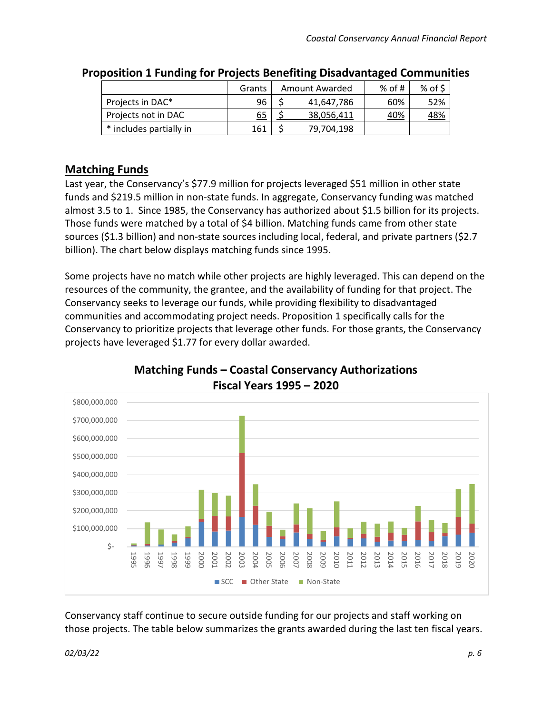|                         | Grants | Amount Awarded |            | % of # | $%$ of \$  |
|-------------------------|--------|----------------|------------|--------|------------|
| Projects in DAC*        | 96     |                | 41,647,786 | 60%    | 52%        |
| Projects not in DAC     | 65     |                | 38,056,411 | 40%    | <u>48%</u> |
| * includes partially in | 161    |                | 79,704,198 |        |            |

#### **Proposition 1 Funding for Projects Benefiting Disadvantaged Communities**

#### **Matching Funds**

Last year, the Conservancy's \$77.9 million for projects leveraged \$51 million in other state funds and \$219.5 million in non-state funds. In aggregate, Conservancy funding was matched almost 3.5 to 1. Since 1985, the Conservancy has authorized about \$1.5 billion for its projects. Those funds were matched by a total of \$4 billion. Matching funds came from other state sources (\$1.3 billion) and non-state sources including local, federal, and private partners (\$2.7 billion). The chart below displays matching funds since 1995.

Some projects have no match while other projects are highly leveraged. This can depend on the resources of the community, the grantee, and the availability of funding for that project. The Conservancy seeks to leverage our funds, while providing flexibility to disadvantaged communities and accommodating project needs. Proposition 1 specifically calls for the Conservancy to prioritize projects that leverage other funds. For those grants, the Conservancy projects have leveraged \$1.77 for every dollar awarded.



#### **Matching Funds – Coastal Conservancy Authorizations Fiscal Years 1995 – 2020**

Conservancy staff continue to secure outside funding for our projects and staff working on those projects. The table below summarizes the grants awarded during the last ten fiscal years.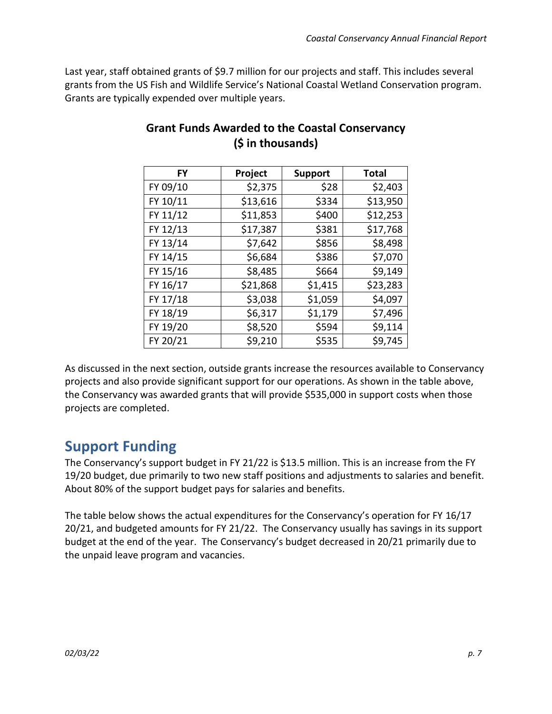Last year, staff obtained grants of \$9.7 million for our projects and staff. This includes several grants from the US Fish and Wildlife Service's National Coastal Wetland Conservation program. Grants are typically expended over multiple years.

| FY       | Project  | <b>Support</b> | <b>Total</b> |
|----------|----------|----------------|--------------|
| FY 09/10 | \$2,375  | \$28           | \$2,403      |
| FY 10/11 | \$13,616 | \$334          | \$13,950     |
| FY 11/12 | \$11,853 | \$400          | \$12,253     |
| FY 12/13 | \$17,387 | \$381          | \$17,768     |
| FY 13/14 | \$7,642  | \$856          | \$8,498      |
| FY 14/15 | \$6,684  | \$386          | \$7,070      |
| FY 15/16 | \$8,485  | \$664          | \$9,149      |
| FY 16/17 | \$21,868 | \$1,415        | \$23,283     |
| FY 17/18 | \$3,038  | \$1,059        | \$4,097      |
| FY 18/19 | \$6,317  | \$1,179        | \$7,496      |
| FY 19/20 | \$8,520  | \$594          | \$9,114      |
| FY 20/21 | \$9,210  | \$535          | \$9,745      |

### **Grant Funds Awarded to the Coastal Conservancy (\$ in thousands)**

As discussed in the next section, outside grants increase the resources available to Conservancy projects and also provide significant support for our operations. As shown in the table above, the Conservancy was awarded grants that will provide \$535,000 in support costs when those projects are completed.

# **Support Funding**

The Conservancy's support budget in FY 21/22 is \$13.5 million. This is an increase from the FY 19/20 budget, due primarily to two new staff positions and adjustments to salaries and benefit. About 80% of the support budget pays for salaries and benefits.

The table below shows the actual expenditures for the Conservancy's operation for FY 16/17 20/21, and budgeted amounts for FY 21/22. The Conservancy usually has savings in its support budget at the end of the year. The Conservancy's budget decreased in 20/21 primarily due to the unpaid leave program and vacancies.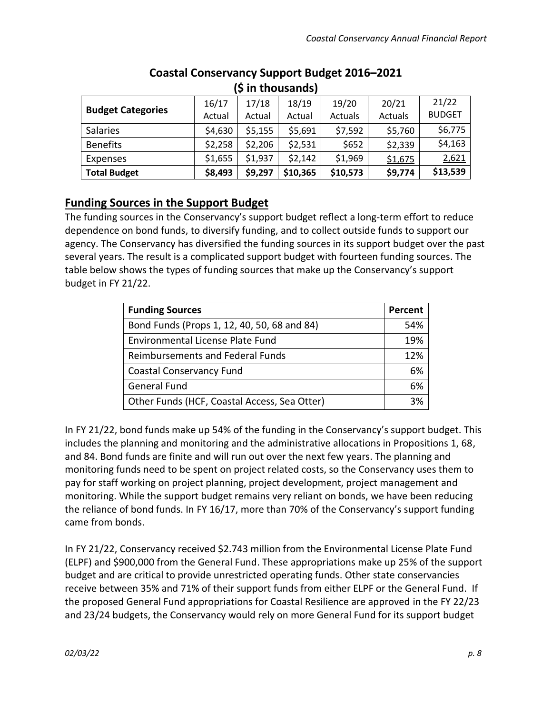| (5 in thousands)         |         |         |          |          |         |               |  |  |
|--------------------------|---------|---------|----------|----------|---------|---------------|--|--|
| <b>Budget Categories</b> | 16/17   | 17/18   | 18/19    | 19/20    | 20/21   | 21/22         |  |  |
|                          | Actual  | Actual  | Actual   | Actuals  | Actuals | <b>BUDGET</b> |  |  |
| <b>Salaries</b>          | \$4,630 | \$5,155 | \$5,691  | \$7,592  | \$5,760 | \$6,775       |  |  |
| <b>Benefits</b>          | \$2,258 | \$2,206 | \$2,531  | \$652    | \$2,339 | \$4,163       |  |  |
| <b>Expenses</b>          | \$1,655 | \$1,937 | \$2,142  | \$1,969  | \$1,675 | 2,621         |  |  |
| <b>Total Budget</b>      | \$8,493 | \$9,297 | \$10,365 | \$10,573 | \$9,774 | \$13,539      |  |  |

#### **Coastal Conservancy Support Budget 2016–2021 (\$ in thousands)**

#### **Funding Sources in the Support Budget**

The funding sources in the Conservancy's support budget reflect a long-term effort to reduce dependence on bond funds, to diversify funding, and to collect outside funds to support our agency. The Conservancy has diversified the funding sources in its support budget over the past several years. The result is a complicated support budget with fourteen funding sources. The table below shows the types of funding sources that make up the Conservancy's support budget in FY 21/22.

| <b>Funding Sources</b>                       | Percent |
|----------------------------------------------|---------|
| Bond Funds (Props 1, 12, 40, 50, 68 and 84)  | 54%     |
| <b>Environmental License Plate Fund</b>      | 19%     |
| <b>Reimbursements and Federal Funds</b>      | 12%     |
| <b>Coastal Conservancy Fund</b>              | 6%      |
| <b>General Fund</b>                          | 6%      |
| Other Funds (HCF, Coastal Access, Sea Otter) | 3%      |

In FY 21/22, bond funds make up 54% of the funding in the Conservancy's support budget. This includes the planning and monitoring and the administrative allocations in Propositions 1, 68, and 84. Bond funds are finite and will run out over the next few years. The planning and monitoring funds need to be spent on project related costs, so the Conservancy uses them to pay for staff working on project planning, project development, project management and monitoring. While the support budget remains very reliant on bonds, we have been reducing the reliance of bond funds. In FY 16/17, more than 70% of the Conservancy's support funding came from bonds.

In FY 21/22, Conservancy received \$2.743 million from the Environmental License Plate Fund (ELPF) and \$900,000 from the General Fund. These appropriations make up 25% of the support budget and are critical to provide unrestricted operating funds. Other state conservancies receive between 35% and 71% of their support funds from either ELPF or the General Fund. If the proposed General Fund appropriations for Coastal Resilience are approved in the FY 22/23 and 23/24 budgets, the Conservancy would rely on more General Fund for its support budget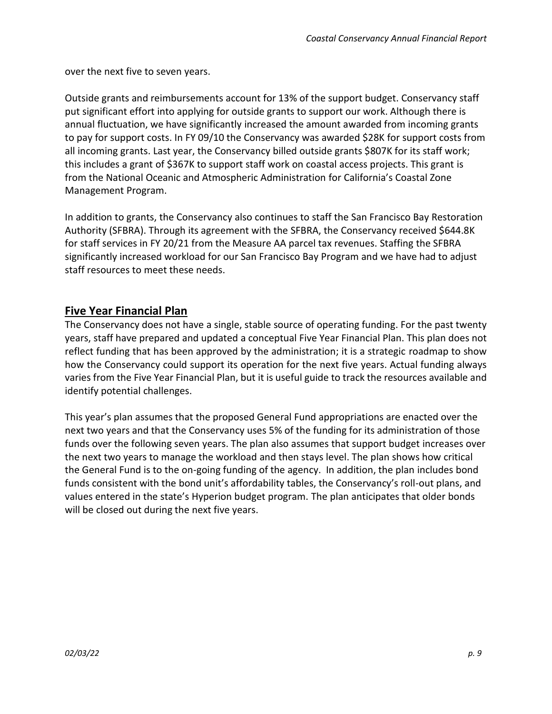over the next five to seven years.

Outside grants and reimbursements account for 13% of the support budget. Conservancy staff put significant effort into applying for outside grants to support our work. Although there is annual fluctuation, we have significantly increased the amount awarded from incoming grants to pay for support costs. In FY 09/10 the Conservancy was awarded \$28K for support costs from all incoming grants. Last year, the Conservancy billed outside grants \$807K for its staff work; this includes a grant of \$367K to support staff work on coastal access projects. This grant is from the National Oceanic and Atmospheric Administration for California's Coastal Zone Management Program.

In addition to grants, the Conservancy also continues to staff the San Francisco Bay Restoration Authority (SFBRA). Through its agreement with the SFBRA, the Conservancy received \$644.8K for staff services in FY 20/21 from the Measure AA parcel tax revenues. Staffing the SFBRA significantly increased workload for our San Francisco Bay Program and we have had to adjust staff resources to meet these needs.

#### **Five Year Financial Plan**

The Conservancy does not have a single, stable source of operating funding. For the past twenty years, staff have prepared and updated a conceptual Five Year Financial Plan. This plan does not reflect funding that has been approved by the administration; it is a strategic roadmap to show how the Conservancy could support its operation for the next five years. Actual funding always varies from the Five Year Financial Plan, but it is useful guide to track the resources available and identify potential challenges.

This year's plan assumes that the proposed General Fund appropriations are enacted over the next two years and that the Conservancy uses 5% of the funding for its administration of those funds over the following seven years. The plan also assumes that support budget increases over the next two years to manage the workload and then stays level. The plan shows how critical the General Fund is to the on-going funding of the agency. In addition, the plan includes bond funds consistent with the bond unit's affordability tables, the Conservancy's roll-out plans, and values entered in the state's Hyperion budget program. The plan anticipates that older bonds will be closed out during the next five years.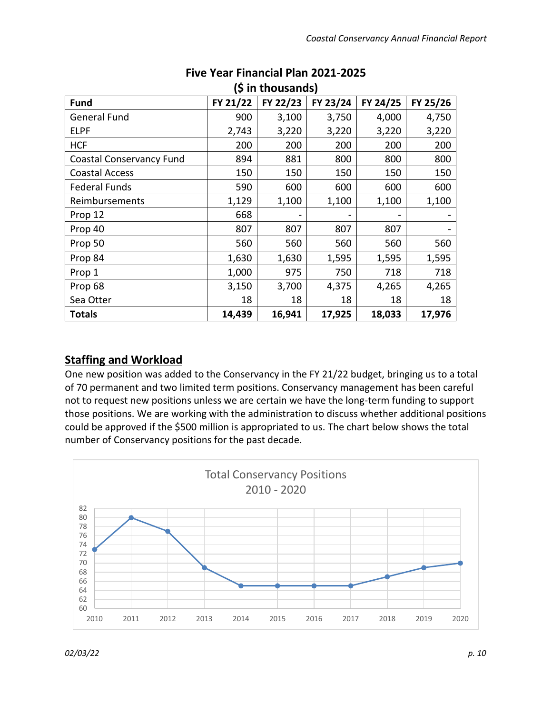| (5 in thousands)                |          |          |                          |          |          |  |  |  |  |
|---------------------------------|----------|----------|--------------------------|----------|----------|--|--|--|--|
| <b>Fund</b>                     | FY 21/22 | FY 22/23 | FY 23/24                 | FY 24/25 | FY 25/26 |  |  |  |  |
| <b>General Fund</b>             | 900      | 3,100    | 3,750                    | 4,000    | 4,750    |  |  |  |  |
| <b>ELPF</b>                     | 2,743    | 3,220    | 3,220                    | 3,220    | 3,220    |  |  |  |  |
| <b>HCF</b>                      | 200      | 200      | 200                      | 200      | 200      |  |  |  |  |
| <b>Coastal Conservancy Fund</b> | 894      | 881      | 800                      | 800      | 800      |  |  |  |  |
| <b>Coastal Access</b>           | 150      | 150      | 150                      | 150      | 150      |  |  |  |  |
| <b>Federal Funds</b>            | 590      | 600      | 600                      | 600      | 600      |  |  |  |  |
| Reimbursements                  | 1,129    | 1,100    | 1,100                    | 1,100    | 1,100    |  |  |  |  |
| Prop 12                         | 668      |          | $\overline{\phantom{0}}$ |          |          |  |  |  |  |
| Prop 40                         | 807      | 807      | 807                      | 807      |          |  |  |  |  |
| Prop 50                         | 560      | 560      | 560                      | 560      | 560      |  |  |  |  |
| Prop 84                         | 1,630    | 1,630    | 1,595                    | 1,595    | 1,595    |  |  |  |  |
| Prop 1                          | 1,000    | 975      | 750                      | 718      | 718      |  |  |  |  |
| Prop 68                         | 3,150    | 3,700    | 4,375                    | 4,265    | 4,265    |  |  |  |  |
| Sea Otter                       | 18       | 18       | 18                       | 18       | 18       |  |  |  |  |
| <b>Totals</b>                   | 14,439   | 16,941   | 17,925                   | 18,033   | 17,976   |  |  |  |  |

#### **Five Year Financial Plan 2021-2025 (\$ in thousands)**

#### **Staffing and Workload**

One new position was added to the Conservancy in the FY 21/22 budget, bringing us to a total of 70 permanent and two limited term positions. Conservancy management has been careful not to request new positions unless we are certain we have the long-term funding to support those positions. We are working with the administration to discuss whether additional positions could be approved if the \$500 million is appropriated to us. The chart below shows the total number of Conservancy positions for the past decade.